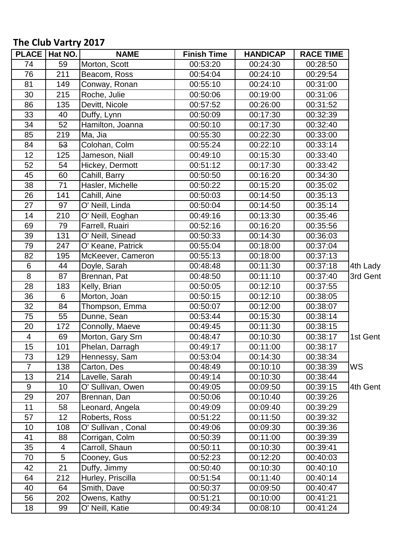## **The Club Vartry 2017**

|                         | PLACE   Hat NO. | <b>NAME</b>        | <b>Finish Time</b> | <b>HANDICAP</b> | <b>RACE TIME</b> |          |
|-------------------------|-----------------|--------------------|--------------------|-----------------|------------------|----------|
| 74                      | 59              | Morton, Scott      | 00:53:20           | 00:24:30        | 00:28:50         |          |
| 76                      | 211             | Beacom, Ross       | 00:54:04           | 00:24:10        | 00:29:54         |          |
| 81                      | 149             | Conway, Ronan      | 00:55:10           | 00:24:10        | 00:31:00         |          |
| 30                      | 215             | Roche, Julie       | 00:50:06           | 00:19:00        | 00:31:06         |          |
| 86                      | 135             | Devitt, Nicole     | 00:57:52           | 00:26:00        | 00:31:52         |          |
| 33                      | 40              | Duffy, Lynn        | 00:50:09           | 00:17:30        | 00:32:39         |          |
| 34                      | 52              | Hamilton, Joanna   | 00:50:10           | 00:17:30        | 00:32:40         |          |
| 85                      | 219             | Ma, Jia            | 00:55:30           | 00:22:30        | 00:33:00         |          |
| 84                      | 53              | Colohan, Colm      | 00:55:24           | 00:22:10        | 00:33:14         |          |
| 12                      | 125             | Jameson, Niall     | 00:49:10           | 00:15:30        | 00:33:40         |          |
| 52                      | 54              | Hickey, Dermott    | 00:51:12           | 00:17:30        | 00:33:42         |          |
| 45                      | 60              | Cahill, Barry      | 00:50:50           | 00:16:20        | 00:34:30         |          |
| 38                      | 71              | Hasler, Michelle   | 00:50:22           | 00:15:20        | 00:35:02         |          |
| 26                      | 141             | Cahill, Aine       | 00:50:03           | 00:14:50        | 00:35:13         |          |
| 27                      | 97              | O' Neill, Linda    | 00:50:04           | 00:14:50        | 00:35:14         |          |
| 14                      | 210             | O' Neill, Eoghan   | 00:49:16           | 00:13:30        | 00:35:46         |          |
| 69                      | 79              | Farrell, Ruairi    | 00:52:16           | 00:16:20        | 00:35:56         |          |
| 39                      | 131             | O' Neill, Sinead   | 00:50:33           | 00:14:30        | 00:36:03         |          |
| 79                      | 247             | O' Keane, Patrick  | 00:55:04           | 00:18:00        | 00:37:04         |          |
| 82                      | 195             | McKeever, Cameron  | 00:55:13           | 00:18:00        | 00:37:13         |          |
| 6                       | 44              | Doyle, Sarah       | 00:48:48           | 00:11:30        | 00:37:18         | 4th Lady |
| 8                       | 87              | Brennan, Pat       | 00:48:50           | 00:11:10        | 00:37:40         | 3rd Gent |
| 28                      | 183             | Kelly, Brian       | 00:50:05           | 00:12:10        | 00:37:55         |          |
| 36                      | 6               | Morton, Joan       | 00:50:15           | 00:12:10        | 00:38:05         |          |
| 32                      | 84              | Thompson, Emma     | 00:50:07           | 00:12:00        | 00:38:07         |          |
| 75                      | 55              | Dunne, Sean        | 00:53:44           | 00:15:30        | 00:38:14         |          |
| 20                      | 172             | Connolly, Maeve    | 00:49:45           | 00:11:30        | 00:38:15         |          |
| $\overline{\mathbf{4}}$ | 69              | Morton, Gary Srn   | 00:48:47           | 00:10:30        | 00:38:17         | 1st Gent |
| 15                      | 101             | Phelan, Darragh    | 00:49:17           | 00:11:00        | 00:38:17         |          |
| 73                      | 129             | Hennessy, Sam      | 00:53:04           | 00:14:30        | 00:38:34         |          |
| $\overline{7}$          | 138             | Carton, Des        | 00:48:49           | 00:10:10        | 00:38:39         | WS       |
| 13                      | 214             | Lavelle, Sarah     | 00:49:14           | 00:10:30        | 00:38:44         |          |
| $9\,$                   | 10              | O' Sullivan, Owen  | 00:49:05           | 00:09:50        | 00:39:15         | 4th Gent |
| 29                      | 207             | Brennan, Dan       | 00:50:06           | 00:10:40        | 00:39:26         |          |
| 11                      | 58              | Leonard, Angela    | 00:49:09           | 00:09:40        | 00:39:29         |          |
| 57                      | 12              | Roberts, Ross      | 00:51:22           | 00:11:50        | 00:39:32         |          |
| 10                      | 108             | O' Sullivan, Conal | 00:49:06           | 00:09:30        | 00:39:36         |          |
| 41                      | 88              | Corrigan, Colm     | 00:50:39           | 00:11:00        | 00:39:39         |          |
| 35                      | 4               | Carroll, Shaun     | 00:50:11           | 00:10:30        | 00:39:41         |          |
| 70                      | 5               | Cooney, Gus        | 00:52:23           | 00:12:20        | 00:40:03         |          |
| 42                      | 21              | Duffy, Jimmy       | 00:50:40           | 00:10:30        | 00:40:10         |          |
| 64                      | 212             | Hurley, Priscilla  | 00:51:54           | 00:11:40        | 00:40:14         |          |
| 40                      | 64              | Smith, Dave        | 00:50:37           | 00:09:50        | 00:40:47         |          |
| 56                      | 202             | Owens, Kathy       | 00:51:21           | 00:10:00        | 00:41:21         |          |
| 18                      | 99              | O' Neill, Katie    | 00:49:34           | 00:08:10        | 00:41:24         |          |